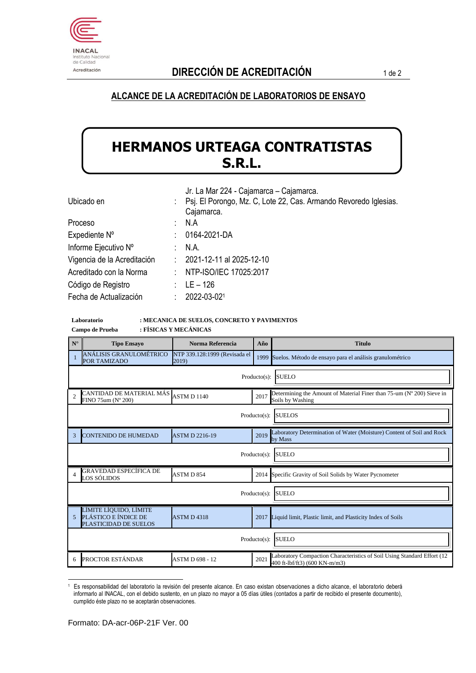

### **ALCANCE DE LA ACREDITACIÓN DE LABORATORIOS DE ENSAYO**

# **HERMANOS URTEAGA CONTRATISTAS S.R.L.**

| Jr. La Mar 224 - Cajamarca - Cajamarca.             |
|-----------------------------------------------------|
| : Psj. El Porongo, Mz. C, Lote 22, Cas. Armando Rev |
| Coinmoron                                           |

| Ubicado en                  |    | Psj. El Porongo, Mz. C, Lote 22, Cas. Armando Revoredo Iglesias. |
|-----------------------------|----|------------------------------------------------------------------|
|                             |    | Cajamarca.                                                       |
| Proceso                     | t. | N.A                                                              |
| Expediente N°               | t. | 0164-2021-DA                                                     |
| Informe Ejecutivo Nº        |    | N.A.                                                             |
| Vigencia de la Acreditación |    | $: 2021 - 12 - 11$ al 2025-12-10                                 |
| Acreditado con la Norma     | ÷  | NTP-ISO/IEC 17025:2017                                           |
| Código de Registro          |    | $LE - 126$                                                       |
| Fecha de Actualización      | ٠  | 2022-03-021                                                      |
|                             |    |                                                                  |

#### **Laboratorio : MECANICA DE SUELOS, CONCRETO Y PAVIMENTOS Campo de Prueba : FÍSICAS Y MECÁNICAS**

| $N^{\circ}$                     | <b>Tipo Ensayo</b>                                                      | Norma Referencia                       | Año  | <b>Titulo</b>                                                                                            |  |  |  |  |
|---------------------------------|-------------------------------------------------------------------------|----------------------------------------|------|----------------------------------------------------------------------------------------------------------|--|--|--|--|
|                                 | ANÁLISIS GRANULOMÉTRICO<br>POR TAMIZADO                                 | NTP 339.128:1999 (Revisada el<br>2019) |      | 1999 Suelos. Método de ensayo para el análisis granulométrico                                            |  |  |  |  |
|                                 | <b>SUELO</b><br>$Producto(s)$ :                                         |                                        |      |                                                                                                          |  |  |  |  |
| $\overline{2}$                  | CANTIDAD DE MATERIAL MÁS<br>FINO $75$ um (N° 200)                       | ASTM D 1140                            | 2017 | Determining the Amount of Material Finer than 75-um (N° 200) Sieve in<br>Soils by Washing                |  |  |  |  |
|                                 | $Producto(s)$ :<br><b>SUELOS</b>                                        |                                        |      |                                                                                                          |  |  |  |  |
| 3                               | <b>CONTENIDO DE HUMEDAD</b>                                             | <b>ASTM D 2216-19</b>                  | 2019 | Laboratory Determination of Water (Moisture) Content of Soil and Rock<br>by Mass                         |  |  |  |  |
|                                 | <b>SUELO</b><br>$Producto(s)$ :                                         |                                        |      |                                                                                                          |  |  |  |  |
| $\Delta$                        | GRAVEDAD ESPECÍFICA DE<br>LOS SÓLIDOS                                   | ASTM D 854                             |      | 2014 Specific Gravity of Soil Solids by Water Pycnometer                                                 |  |  |  |  |
|                                 | <b>SUELO</b><br>$Producto(s)$ :                                         |                                        |      |                                                                                                          |  |  |  |  |
| 5                               | LÍMITE LÍQUIDO, LÍMITE<br>PLÁSTICO E ÍNDICE DE<br>PLASTICIDAD DE SUELOS | <b>ASTM D 4318</b>                     | 2017 | Liquid limit, Plastic limit, and Plasticity Index of Soils                                               |  |  |  |  |
| <b>SUELO</b><br>$Producto(s)$ : |                                                                         |                                        |      |                                                                                                          |  |  |  |  |
| 6                               | PROCTOR ESTÁNDAR                                                        | <b>ASTM D 698 - 12</b>                 | 2021 | Laboratory Compaction Characteristics of Soil Using Standard Effort (12<br>400 ft-lbf/ft3) (600 KN-m/m3) |  |  |  |  |

<sup>1</sup> Es responsabilidad del laboratorio la revisión del presente alcance. En caso existan observaciones a dicho alcance, el laboratorio deberá informarlo al INACAL, con el debido sustento, en un plazo no mayor a 05 días útiles (contados a partir de recibido el presente documento), cumplido éste plazo no se aceptarán observaciones.

1